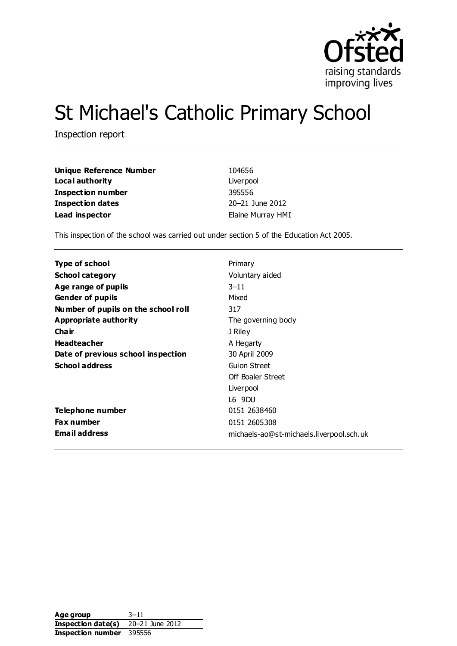

# St Michael's Catholic Primary School

Inspection report

| Unique Reference Number | 104656            |
|-------------------------|-------------------|
| Local authority         | Liver pool        |
| Inspection number       | 395556            |
| <b>Inspection dates</b> | 20-21 June 2012   |
| Lead inspector          | Elaine Murray HMI |

This inspection of the school was carried out under section 5 of the Education Act 2005.

| Type of school                      | Primary                                  |
|-------------------------------------|------------------------------------------|
| <b>School category</b>              | Voluntary aided                          |
| Age range of pupils                 | $3 - 11$                                 |
| <b>Gender of pupils</b>             | Mixed                                    |
| Number of pupils on the school roll | 317                                      |
| <b>Appropriate authority</b>        | The governing body                       |
| Cha ir                              | J Riley                                  |
| <b>Headteacher</b>                  | A Hegarty                                |
| Date of previous school inspection  | 30 April 2009                            |
| <b>School address</b>               | Guion Street                             |
|                                     | Off Boaler Street                        |
|                                     | Liver pool                               |
|                                     | L6 9DU                                   |
| Telephone number                    | 0151 2638460                             |
| <b>Fax number</b>                   | 0151 2605308                             |
| <b>Email address</b>                | michaels-ao@st-michaels.liverpool.sch.uk |

Age group 3–11 **Inspection date(s)** 20–21 June 2012 **Inspection number** 395556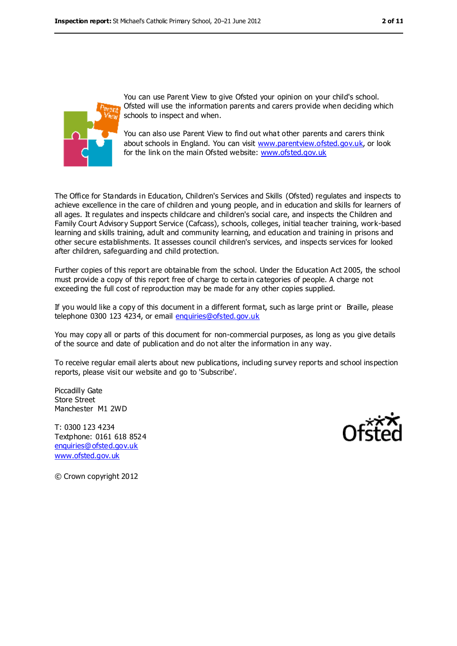

You can use Parent View to give Ofsted your opinion on your child's school. Ofsted will use the information parents and carers provide when deciding which schools to inspect and when.

You can also use Parent View to find out what other parents and carers think about schools in England. You can visit [www.parentview.ofsted.gov.uk,](../../../AppData/Local/Microsoft/murraye/AppData/Local/Microsoft/Windows/Temporary%20Internet%20Files/Content.IE5/DIJN66W5/www.parentview.ofsted.gov.uk) or look for the link on the main Ofsted website: [www.ofsted.gov.uk](../../../AppData/Local/Microsoft/murraye/AppData/Local/Microsoft/Windows/Temporary%20Internet%20Files/Content.IE5/DIJN66W5/www.ofsted.gov.uk)

The Office for Standards in Education, Children's Services and Skills (Ofsted) regulates and inspects to achieve excellence in the care of children and young people, and in education and skills for learners of all ages. It regulates and inspects childcare and children's social care, and inspects the Children and Family Court Advisory Support Service (Cafcass), schools, colleges, initial teacher training, work-based learning and skills training, adult and community learning, and education and training in prisons and other secure establishments. It assesses council children's services, and inspects services for looked after children, safeguarding and child protection.

Further copies of this report are obtainable from the school. Under the Education Act 2005, the school must provide a copy of this report free of charge to certa in categories of people. A charge not exceeding the full cost of reproduction may be made for any other copies supplied.

If you would like a copy of this document in a different format, such as large print or Braille, please telephone 0300 123 4234, or email [enquiries@ofsted.gov.uk](mailto:enquiries@ofsted.gov.uk)

You may copy all or parts of this document for non-commercial purposes, as long as you give details of the source and date of publication and do not alter the information in any way.

To receive regular email alerts about new publications, including survey reports and school inspection reports, please visit our website and go to 'Subscribe'.

Piccadilly Gate Store Street Manchester M1 2WD

T: 0300 123 4234 Textphone: 0161 618 8524 [enquiries@ofsted.gov.uk](mailto:enquiries@ofsted.gov.uk) [www.ofsted.gov.uk](http://www.ofsted.gov.uk/)



© Crown copyright 2012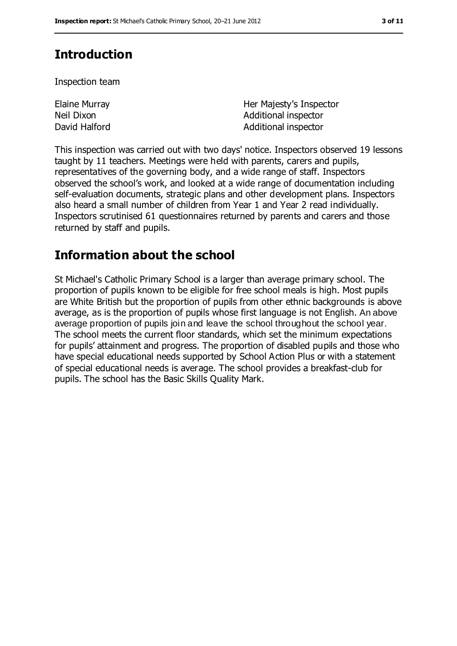# **Introduction**

Inspection team

Elaine Murray Neil Dixon Her Majesty's Inspector Additional inspector David Halford **Additional inspector** Additional inspector

This inspection was carried out with two days' notice. Inspectors observed 19 lessons taught by 11 teachers. Meetings were held with parents, carers and pupils, representatives of the governing body, and a wide range of staff. Inspectors observed the school's work, and looked at a wide range of documentation including self-evaluation documents, strategic plans and other development plans. Inspectors also heard a small number of children from Year 1 and Year 2 read individually. Inspectors scrutinised 61 questionnaires returned by parents and carers and those returned by staff and pupils.

# **Information about the school**

St Michael's Catholic Primary School is a larger than average primary school. The proportion of pupils known to be eligible for free school meals is high. Most pupils are White British but the proportion of pupils from other ethnic backgrounds is above average, as is the proportion of pupils whose first language is not English. An above average proportion of pupils join and leave the school throughout the school year. The school meets the current floor standards, which set the minimum expectations for pupils' attainment and progress. The proportion of disabled pupils and those who have special educational needs supported by School Action Plus or with a statement of special educational needs is average. The school provides a breakfast-club for pupils. The school has the Basic Skills Quality Mark.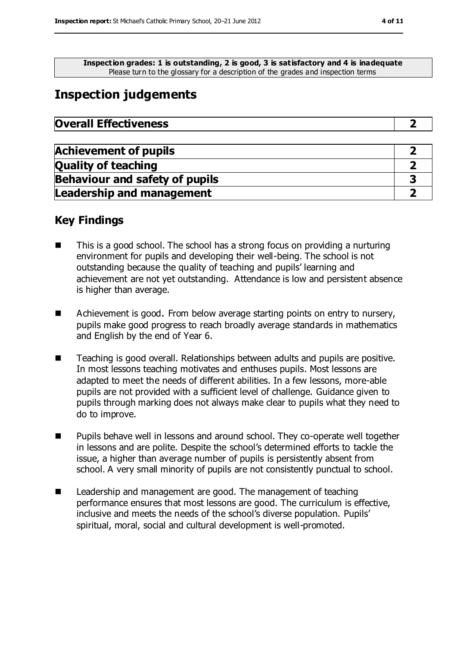**Inspection grades: 1 is outstanding, 2 is good, 3 is satisfactory and 4 is inadequate** Please turn to the glossary for a description of the grades and inspection terms

# **Inspection judgements**

| <b>Overall Effectiveness</b> |  |
|------------------------------|--|
|------------------------------|--|

| <b>Achievement of pupils</b>          |  |
|---------------------------------------|--|
| <b>Quality of teaching</b>            |  |
| <b>Behaviour and safety of pupils</b> |  |
| <b>Leadership and management</b>      |  |

### **Key Findings**

- This is a good school. The school has a strong focus on providing a nurturing environment for pupils and developing their well-being. The school is not outstanding because the quality of teaching and pupils' learning and achievement are not yet outstanding. Attendance is low and persistent absence is higher than average.
- Achievement is good. From below average starting points on entry to nursery, pupils make good progress to reach broadly average standards in mathematics and English by the end of Year 6.
- Teaching is good overall. Relationships between adults and pupils are positive. In most lessons teaching motivates and enthuses pupils. Most lessons are adapted to meet the needs of different abilities. In a few lessons, more-able pupils are not provided with a sufficient level of challenge. Guidance given to pupils through marking does not always make clear to pupils what they need to do to improve.
- Pupils behave well in lessons and around school. They co-operate well together in lessons and are polite. Despite the school's determined efforts to tackle the issue, a higher than average number of pupils is persistently absent from school. A very small minority of pupils are not consistently punctual to school.
- **Leadership and management are good. The management of teaching** performance ensures that most lessons are good. The curriculum is effective, inclusive and meets the needs of the school's diverse population. Pupils' spiritual, moral, social and cultural development is well-promoted.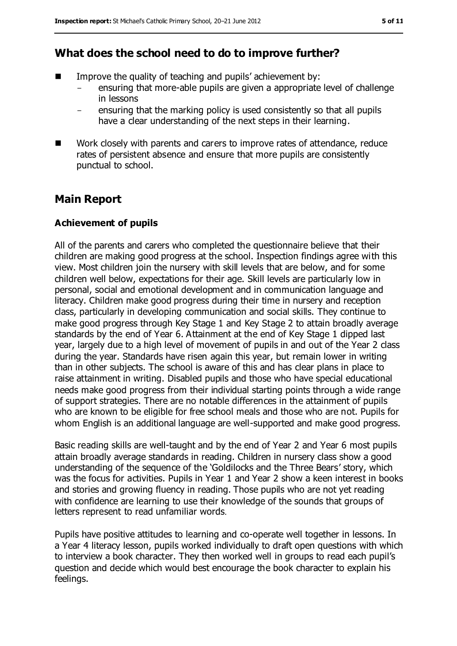## **What does the school need to do to improve further?**

- $\blacksquare$  Improve the quality of teaching and pupils' achievement by:
	- ensuring that more-able pupils are given a appropriate level of challenge in lessons
	- ensuring that the marking policy is used consistently so that all pupils have a clear understanding of the next steps in their learning.
- Work closely with parents and carers to improve rates of attendance, reduce rates of persistent absence and ensure that more pupils are consistently punctual to school.

## **Main Report**

#### **Achievement of pupils**

All of the parents and carers who completed the questionnaire believe that their children are making good progress at the school. Inspection findings agree with this view. Most children join the nursery with skill levels that are below, and for some children well below, expectations for their age. Skill levels are particularly low in personal, social and emotional development and in communication language and literacy. Children make good progress during their time in nursery and reception class, particularly in developing communication and social skills. They continue to make good progress through Key Stage 1 and Key Stage 2 to attain broadly average standards by the end of Year 6. Attainment at the end of Key Stage 1 dipped last year, largely due to a high level of movement of pupils in and out of the Year 2 class during the year. Standards have risen again this year, but remain lower in writing than in other subjects. The school is aware of this and has clear plans in place to raise attainment in writing. Disabled pupils and those who have special educational needs make good progress from their individual starting points through a wide range of support strategies. There are no notable differences in the attainment of pupils who are known to be eligible for free school meals and those who are not. Pupils for whom English is an additional language are well-supported and make good progress.

Basic reading skills are well-taught and by the end of Year 2 and Year 6 most pupils attain broadly average standards in reading. Children in nursery class show a good understanding of the sequence of the 'Goldilocks and the Three Bears' story, which was the focus for activities. Pupils in Year 1 and Year 2 show a keen interest in books and stories and growing fluency in reading. Those pupils who are not yet reading with confidence are learning to use their knowledge of the sounds that groups of letters represent to read unfamiliar words.

Pupils have positive attitudes to learning and co-operate well together in lessons. In a Year 4 literacy lesson, pupils worked individually to draft open questions with which to interview a book character. They then worked well in groups to read each pupil's question and decide which would best encourage the book character to explain his feelings.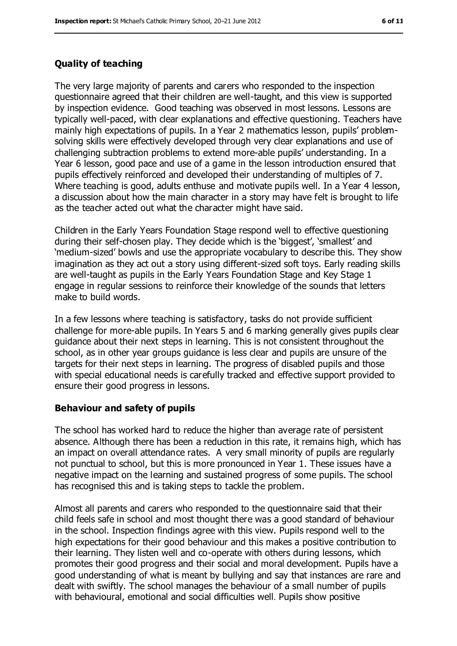#### **Quality of teaching**

The very large majority of parents and carers who responded to the inspection questionnaire agreed that their children are well-taught, and this view is supported by inspection evidence. Good teaching was observed in most lessons. Lessons are typically well-paced, with clear explanations and effective questioning. Teachers have mainly high expectations of pupils. In a Year 2 mathematics lesson, pupils' problemsolving skills were effectively developed through very clear explanations and use of challenging subtraction problems to extend more-able pupils' understanding. In a Year 6 lesson, good pace and use of a game in the lesson introduction ensured that pupils effectively reinforced and developed their understanding of multiples of 7. Where teaching is good, adults enthuse and motivate pupils well. In a Year 4 lesson, a discussion about how the main character in a story may have felt is brought to life as the teacher acted out what the character might have said.

Children in the Early Years Foundation Stage respond well to effective questioning during their self-chosen play. They decide which is the 'biggest', 'smallest' and 'medium-sized' bowls and use the appropriate vocabulary to describe this. They show imagination as they act out a story using different-sized soft toys. Early reading skills are well-taught as pupils in the Early Years Foundation Stage and Key Stage 1 engage in regular sessions to reinforce their knowledge of the sounds that letters make to build words.

In a few lessons where teaching is satisfactory, tasks do not provide sufficient challenge for more-able pupils. In Years 5 and 6 marking generally gives pupils clear guidance about their next steps in learning. This is not consistent throughout the school, as in other year groups guidance is less clear and pupils are unsure of the targets for their next steps in learning. The progress of disabled pupils and those with special educational needs is carefully tracked and effective support provided to ensure their good progress in lessons.

#### **Behaviour and safety of pupils**

The school has worked hard to reduce the higher than average rate of persistent absence. Although there has been a reduction in this rate, it remains high, which has an impact on overall attendance rates. A very small minority of pupils are regularly not punctual to school, but this is more pronounced in Year 1. These issues have a negative impact on the learning and sustained progress of some pupils. The school has recognised this and is taking steps to tackle the problem.

Almost all parents and carers who responded to the questionnaire said that their child feels safe in school and most thought there was a good standard of behaviour in the school. Inspection findings agree with this view. Pupils respond well to the high expectations for their good behaviour and this makes a positive contribution to their learning. They listen well and co-operate with others during lessons, which promotes their good progress and their social and moral development. Pupils have a good understanding of what is meant by bullying and say that instances are rare and dealt with swiftly. The school manages the behaviour of a small number of pupils with behavioural, emotional and social difficulties well. Pupils show positive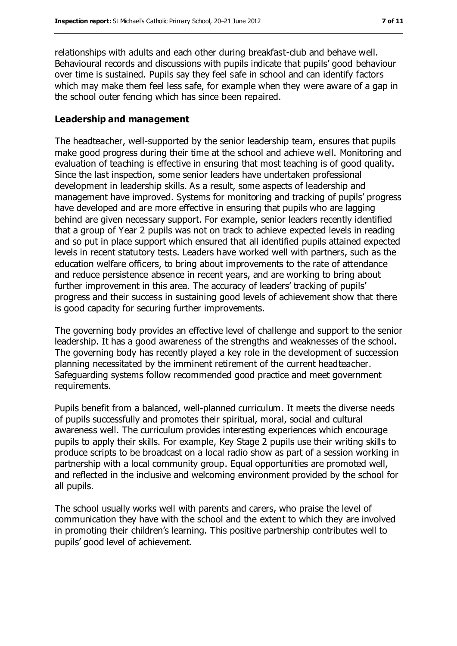relationships with adults and each other during breakfast-club and behave well. Behavioural records and discussions with pupils indicate that pupils' good behaviour over time is sustained. Pupils say they feel safe in school and can identify factors which may make them feel less safe, for example when they were aware of a gap in the school outer fencing which has since been repaired.

#### **Leadership and management**

The headteacher, well-supported by the senior leadership team, ensures that pupils make good progress during their time at the school and achieve well. Monitoring and evaluation of teaching is effective in ensuring that most teaching is of good quality. Since the last inspection, some senior leaders have undertaken professional development in leadership skills. As a result, some aspects of leadership and management have improved. Systems for monitoring and tracking of pupils' progress have developed and are more effective in ensuring that pupils who are lagging behind are given necessary support. For example, senior leaders recently identified that a group of Year 2 pupils was not on track to achieve expected levels in reading and so put in place support which ensured that all identified pupils attained expected levels in recent statutory tests. Leaders have worked well with partners, such as the education welfare officers, to bring about improvements to the rate of attendance and reduce persistence absence in recent years, and are working to bring about further improvement in this area. The accuracy of leaders' tracking of pupils' progress and their success in sustaining good levels of achievement show that there is good capacity for securing further improvements.

The governing body provides an effective level of challenge and support to the senior leadership. It has a good awareness of the strengths and weaknesses of the school. The governing body has recently played a key role in the development of succession planning necessitated by the imminent retirement of the current headteacher. Safeguarding systems follow recommended good practice and meet government requirements.

Pupils benefit from a balanced, well-planned curriculum. It meets the diverse needs of pupils successfully and promotes their spiritual, moral, social and cultural awareness well. The curriculum provides interesting experiences which encourage pupils to apply their skills. For example, Key Stage 2 pupils use their writing skills to produce scripts to be broadcast on a local radio show as part of a session working in partnership with a local community group. Equal opportunities are promoted well, and reflected in the inclusive and welcoming environment provided by the school for all pupils.

The school usually works well with parents and carers, who praise the level of communication they have with the school and the extent to which they are involved in promoting their children's learning. This positive partnership contributes well to pupils' good level of achievement.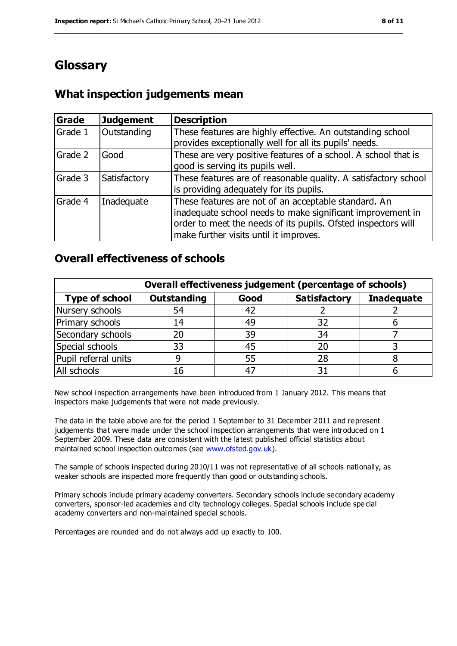# **Glossary**

## **What inspection judgements mean**

| Grade   | <b>Judgement</b> | <b>Description</b>                                                                                                                                                                                                            |
|---------|------------------|-------------------------------------------------------------------------------------------------------------------------------------------------------------------------------------------------------------------------------|
| Grade 1 | Outstanding      | These features are highly effective. An outstanding school<br>provides exceptionally well for all its pupils' needs.                                                                                                          |
| Grade 2 | Good             | These are very positive features of a school. A school that is<br>good is serving its pupils well.                                                                                                                            |
| Grade 3 | Satisfactory     | These features are of reasonable quality. A satisfactory school<br>is providing adequately for its pupils.                                                                                                                    |
| Grade 4 | Inadequate       | These features are not of an acceptable standard. An<br>inadequate school needs to make significant improvement in<br>order to meet the needs of its pupils. Ofsted inspectors will<br>make further visits until it improves. |

## **Overall effectiveness of schools**

|                       | Overall effectiveness judgement (percentage of schools) |       |                     |                   |
|-----------------------|---------------------------------------------------------|-------|---------------------|-------------------|
| <b>Type of school</b> | <b>Outstanding</b>                                      | Good  | <b>Satisfactory</b> | <b>Inadequate</b> |
| Nursery schools       | 54                                                      | 42    |                     |                   |
| Primary schools       | 14                                                      | 49    | 32                  |                   |
| Secondary schools     | 20                                                      | 39    | 34                  |                   |
| Special schools       | 33                                                      | 45    | 20                  |                   |
| Pupil referral units  | 9                                                       | 55    | 28                  |                   |
| All schools           | 16                                                      | $4^-$ |                     |                   |

New school inspection arrangements have been introduced from 1 January 2012. This means that inspectors make judgements that were not made previously.

The data in the table above are for the period 1 September to 31 December 2011 and represent judgements that were made under the school inspection arrangements that were introduced on 1 September 2009. These data are consistent with the latest published official statistics about maintained school inspection outcomes (see [www.ofsted.gov.uk\)](../../../AppData/Local/Microsoft/murraye/AppData/Local/Microsoft/Windows/Temporary%20Internet%20Files/Content.IE5/DIJN66W5/www.ofsted.gov.uk).

The sample of schools inspected during 2010/11 was not representative of all schools nationally, as weaker schools are inspected more frequently than good or outstanding schools.

Primary schools include primary academy converters. Secondary schools include secondary academy converters, sponsor-led academies and city technology colleges. Special schools include spe cial academy converters and non-maintained special schools.

Percentages are rounded and do not always add up exactly to 100.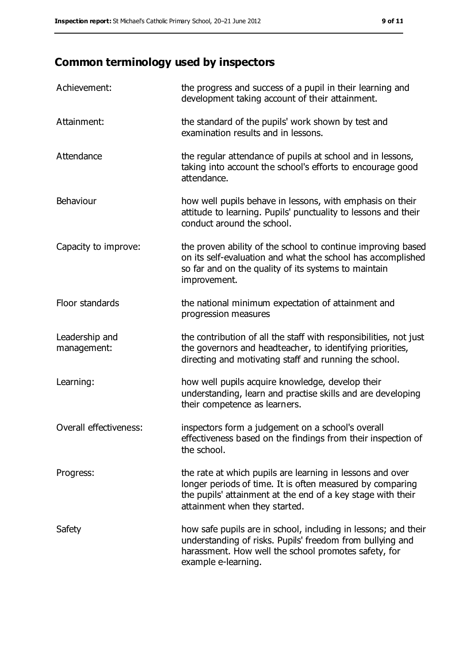| Achievement:                  | the progress and success of a pupil in their learning and<br>development taking account of their attainment.                                                                                                           |
|-------------------------------|------------------------------------------------------------------------------------------------------------------------------------------------------------------------------------------------------------------------|
| Attainment:                   | the standard of the pupils' work shown by test and<br>examination results and in lessons.                                                                                                                              |
| Attendance                    | the regular attendance of pupils at school and in lessons,<br>taking into account the school's efforts to encourage good<br>attendance.                                                                                |
| Behaviour                     | how well pupils behave in lessons, with emphasis on their<br>attitude to learning. Pupils' punctuality to lessons and their<br>conduct around the school.                                                              |
| Capacity to improve:          | the proven ability of the school to continue improving based<br>on its self-evaluation and what the school has accomplished<br>so far and on the quality of its systems to maintain<br>improvement.                    |
| Floor standards               | the national minimum expectation of attainment and<br>progression measures                                                                                                                                             |
| Leadership and<br>management: | the contribution of all the staff with responsibilities, not just<br>the governors and headteacher, to identifying priorities,<br>directing and motivating staff and running the school.                               |
| Learning:                     | how well pupils acquire knowledge, develop their<br>understanding, learn and practise skills and are developing<br>their competence as learners.                                                                       |
| Overall effectiveness:        | inspectors form a judgement on a school's overall<br>effectiveness based on the findings from their inspection of<br>the school.                                                                                       |
| Progress:                     | the rate at which pupils are learning in lessons and over<br>longer periods of time. It is often measured by comparing<br>the pupils' attainment at the end of a key stage with their<br>attainment when they started. |
| Safety                        | how safe pupils are in school, including in lessons; and their<br>understanding of risks. Pupils' freedom from bullying and<br>harassment. How well the school promotes safety, for<br>example e-learning.             |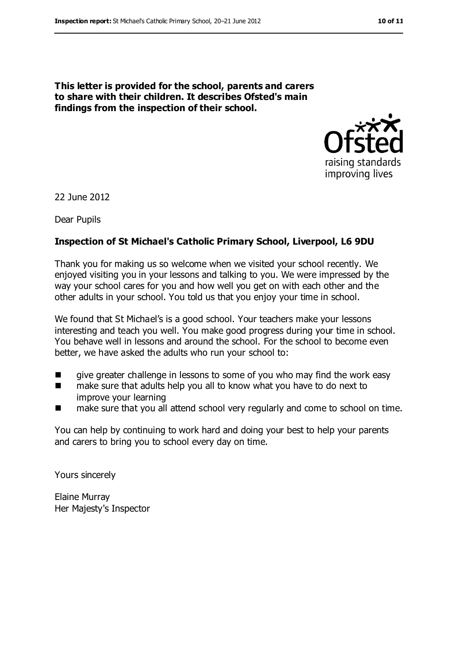**This letter is provided for the school, parents and carers to share with their children. It describes Ofsted's main findings from the inspection of their school.**



22 June 2012

Dear Pupils

#### **Inspection of St Michael's Catholic Primary School, Liverpool, L6 9DU**

Thank you for making us so welcome when we visited your school recently. We enjoyed visiting you in your lessons and talking to you. We were impressed by the way your school cares for you and how well you get on with each other and the other adults in your school. You told us that you enjoy your time in school.

We found that St Michael's is a good school. Your teachers make your lessons interesting and teach you well. You make good progress during your time in school. You behave well in lessons and around the school. For the school to become even better, we have asked the adults who run your school to:

- **EXECUTE:** give greater challenge in lessons to some of you who may find the work easy
- make sure that adults help you all to know what you have to do next to improve your learning
- make sure that you all attend school very regularly and come to school on time.

You can help by continuing to work hard and doing your best to help your parents and carers to bring you to school every day on time.

Yours sincerely

Elaine Murray Her Majesty's Inspector